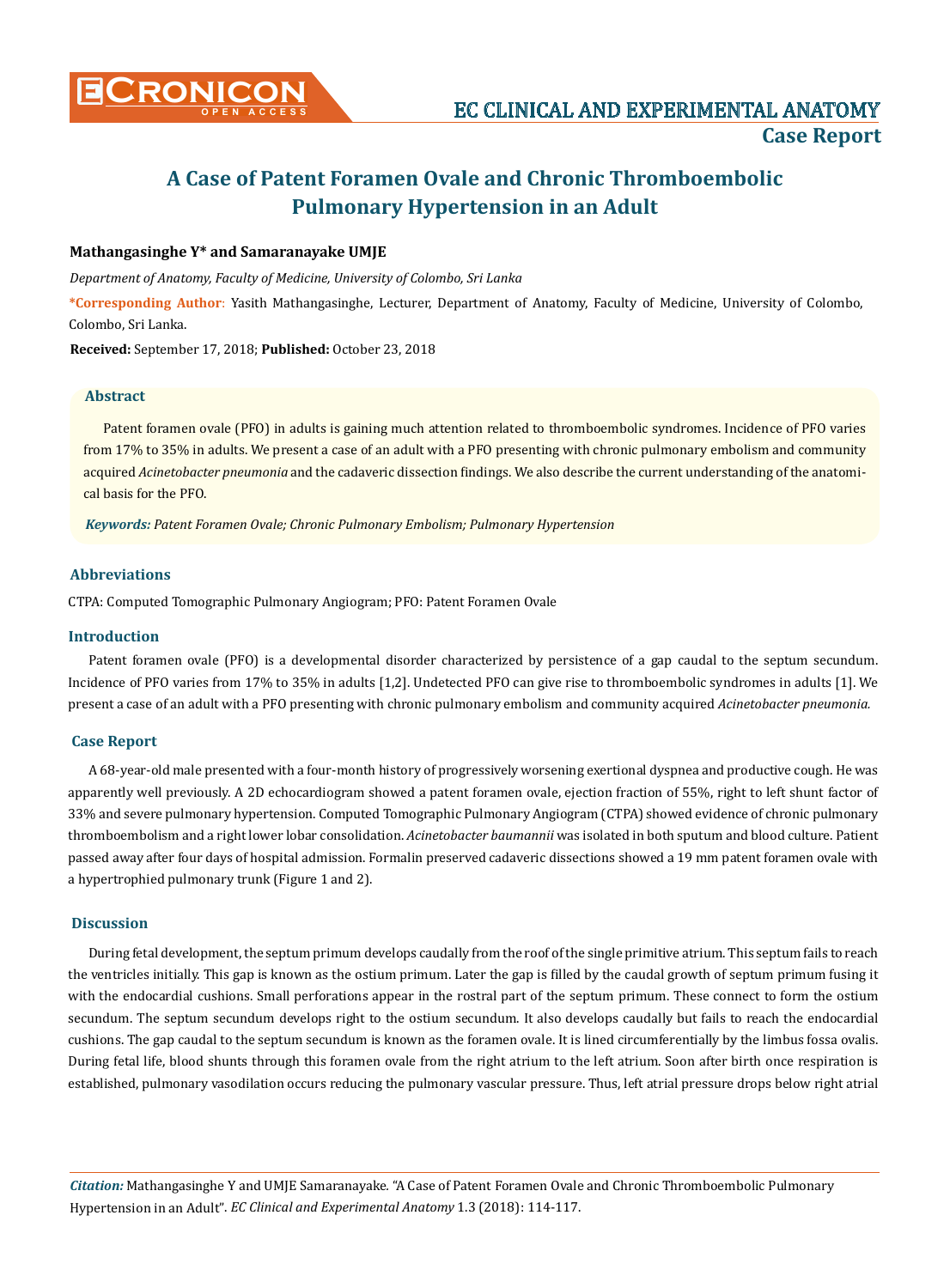# **A Case of Patent Foramen Ovale and Chronic Thromboembolic Pulmonary Hypertension in an Adult**

# **Mathangasinghe Y\* and Samaranayake UMJE**

*Department of Anatomy, Faculty of Medicine, University of Colombo, Sri Lanka*

**\*Corresponding Author**: Yasith Mathangasinghe, Lecturer, Department of Anatomy, Faculty of Medicine, University of Colombo, Colombo, Sri Lanka.

**Received:** September 17, 2018; **Published:** October 23, 2018

## **Abstract**

Patent foramen ovale (PFO) in adults is gaining much attention related to thromboembolic syndromes. Incidence of PFO varies from 17% to 35% in adults. We present a case of an adult with a PFO presenting with chronic pulmonary embolism and community acquired *Acinetobacter pneumonia* and the cadaveric dissection findings. We also describe the current understanding of the anatomical basis for the PFO.

*Keywords: Patent Foramen Ovale; Chronic Pulmonary Embolism; Pulmonary Hypertension*

## **Abbreviations**

CTPA: Computed Tomographic Pulmonary Angiogram; PFO: Patent Foramen Ovale

#### **Introduction**

Patent foramen ovale (PFO) is a developmental disorder characterized by persistence of a gap caudal to the septum secundum. Incidence of PFO varies from 17% to 35% in adults [1,2]. Undetected PFO can give rise to thromboembolic syndromes in adults [1]. We present a case of an adult with a PFO presenting with chronic pulmonary embolism and community acquired *Acinetobacter pneumonia.* 

#### **Case Report**

A 68-year-old male presented with a four-month history of progressively worsening exertional dyspnea and productive cough. He was apparently well previously. A 2D echocardiogram showed a patent foramen ovale, ejection fraction of 55%, right to left shunt factor of 33% and severe pulmonary hypertension. Computed Tomographic Pulmonary Angiogram (CTPA) showed evidence of chronic pulmonary thromboembolism and a right lower lobar consolidation. *Acinetobacter baumannii* was isolated in both sputum and blood culture. Patient passed away after four days of hospital admission. Formalin preserved cadaveric dissections showed a 19 mm patent foramen ovale with a hypertrophied pulmonary trunk (Figure 1 and 2).

#### **Discussion**

During fetal development, the septum primum develops caudally from the roof of the single primitive atrium. This septum fails to reach the ventricles initially. This gap is known as the ostium primum. Later the gap is filled by the caudal growth of septum primum fusing it with the endocardial cushions. Small perforations appear in the rostral part of the septum primum. These connect to form the ostium secundum. The septum secundum develops right to the ostium secundum. It also develops caudally but fails to reach the endocardial cushions. The gap caudal to the septum secundum is known as the foramen ovale. It is lined circumferentially by the limbus fossa ovalis. During fetal life, blood shunts through this foramen ovale from the right atrium to the left atrium. Soon after birth once respiration is established, pulmonary vasodilation occurs reducing the pulmonary vascular pressure. Thus, left atrial pressure drops below right atrial

*Citation:* Mathangasinghe Y and UMJE Samaranayake*.* "A Case of Patent Foramen Ovale and Chronic Thromboembolic Pulmonary Hypertension in an Adult". *EC Clinical and Experimental Anatomy* 1.3 (2018): 114-117.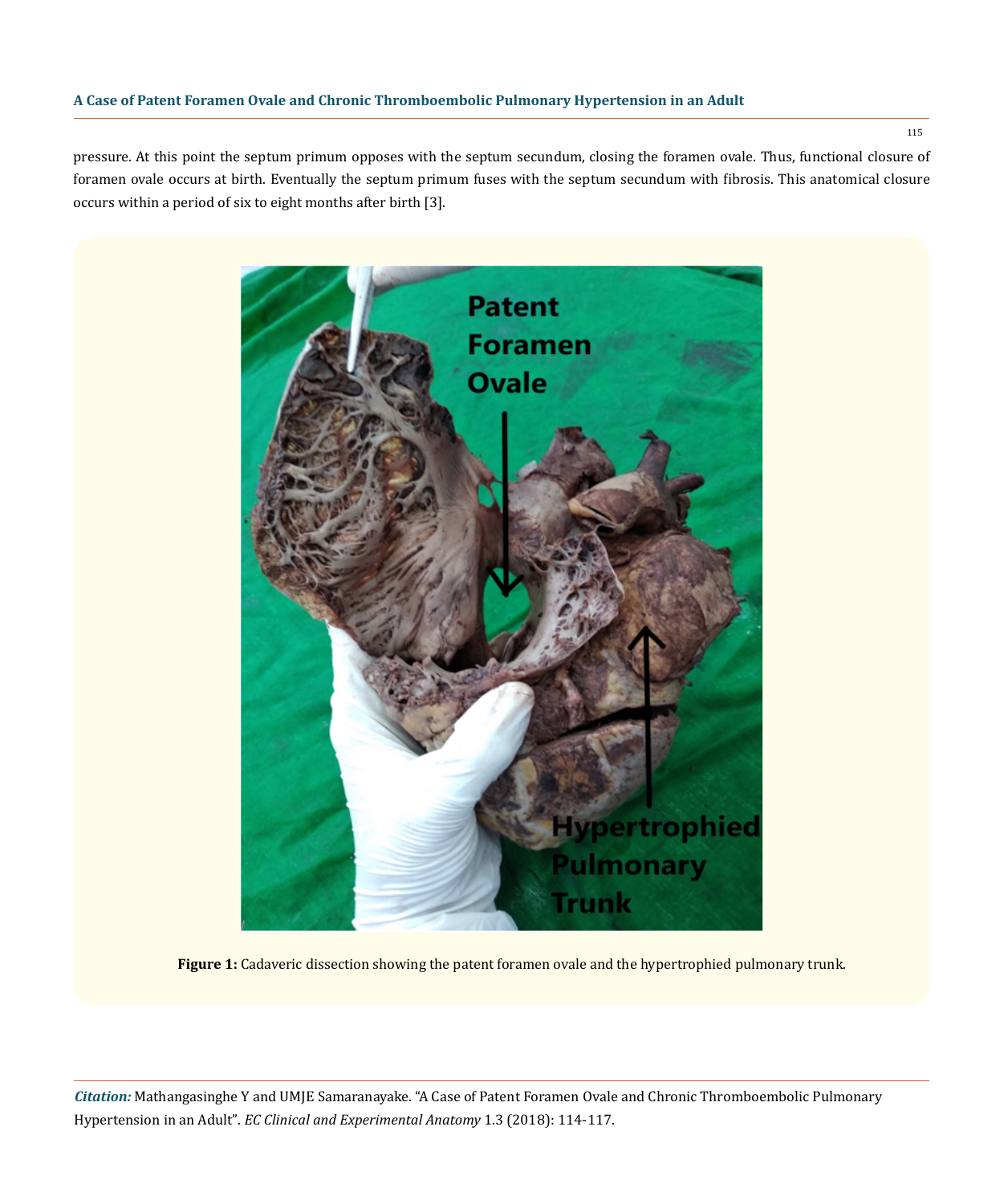## **A Case of Patent Foramen Ovale and Chronic Thromboembolic Pulmonary Hypertension in an Adult**

pressure. At this point the septum primum opposes with the septum secundum, closing the foramen ovale. Thus, functional closure of foramen ovale occurs at birth. Eventually the septum primum fuses with the septum secundum with fibrosis. This anatomical closure occurs within a period of six to eight months after birth [3].



**Figure 1:** Cadaveric dissection showing the patent foramen ovale and the hypertrophied pulmonary trunk.

*Citation:* Mathangasinghe Y and UMJE Samaranayake*.* "A Case of Patent Foramen Ovale and Chronic Thromboembolic Pulmonary Hypertension in an Adult". *EC Clinical and Experimental Anatomy* 1.3 (2018): 114-117.

115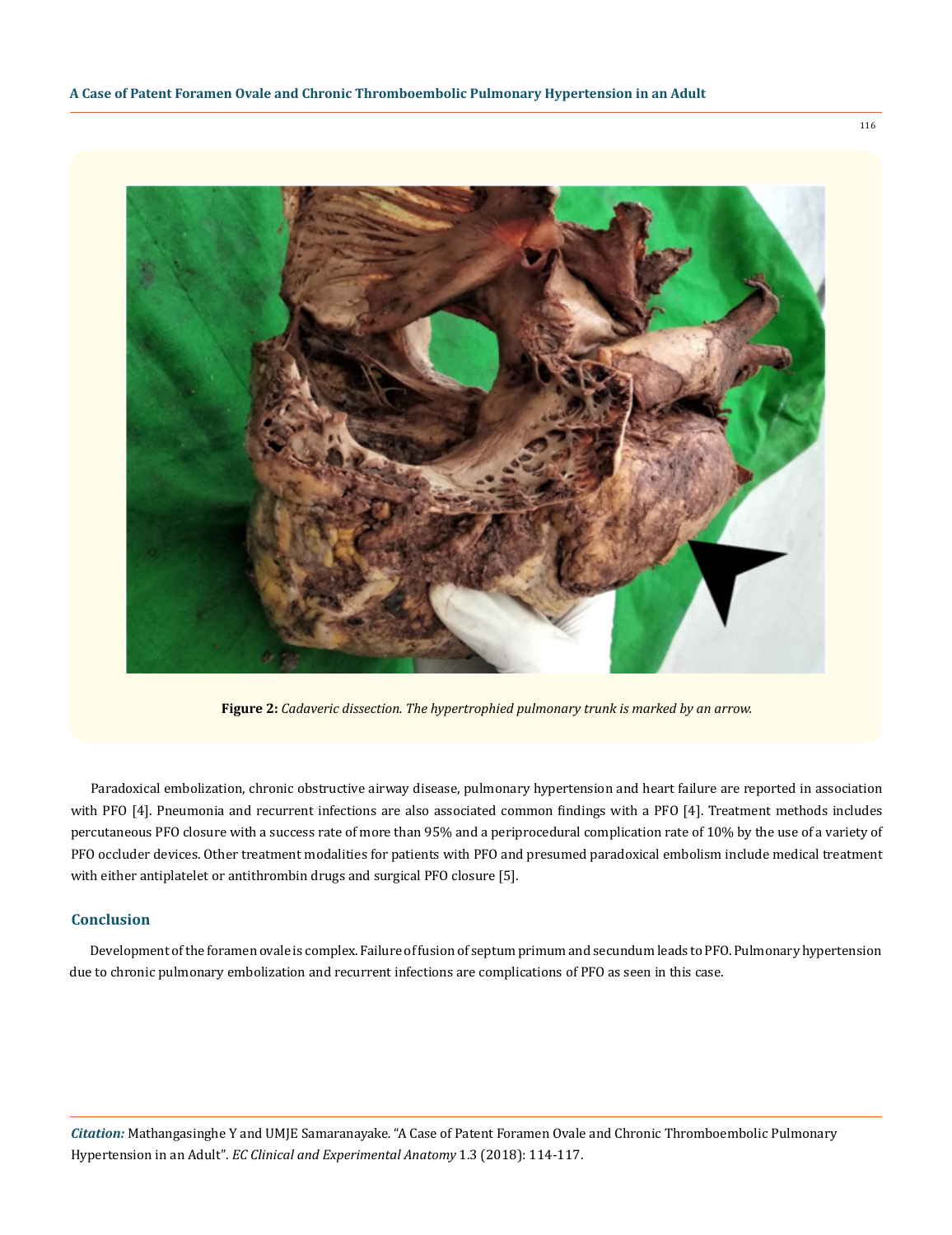

**Figure 2:** *Cadaveric dissection. The hypertrophied pulmonary trunk is marked by an arrow.*

Paradoxical embolization, chronic obstructive airway disease, pulmonary hypertension and heart failure are reported in association with PFO [4]. Pneumonia and recurrent infections are also associated common findings with a PFO [4]. Treatment methods includes percutaneous PFO closure with a success rate of more than 95% and a periprocedural complication rate of 10% by the use of a variety of PFO occluder devices. Other treatment modalities for patients with PFO and presumed paradoxical embolism include medical treatment with either antiplatelet or antithrombin drugs and surgical PFO closure [5].

#### **Conclusion**

Development of the foramen ovale is complex. Failure of fusion of septum primum and secundum leads to PFO. Pulmonary hypertension due to chronic pulmonary embolization and recurrent infections are complications of PFO as seen in this case.

*Citation:* Mathangasinghe Y and UMJE Samaranayake*.* "A Case of Patent Foramen Ovale and Chronic Thromboembolic Pulmonary Hypertension in an Adult". *EC Clinical and Experimental Anatomy* 1.3 (2018): 114-117.